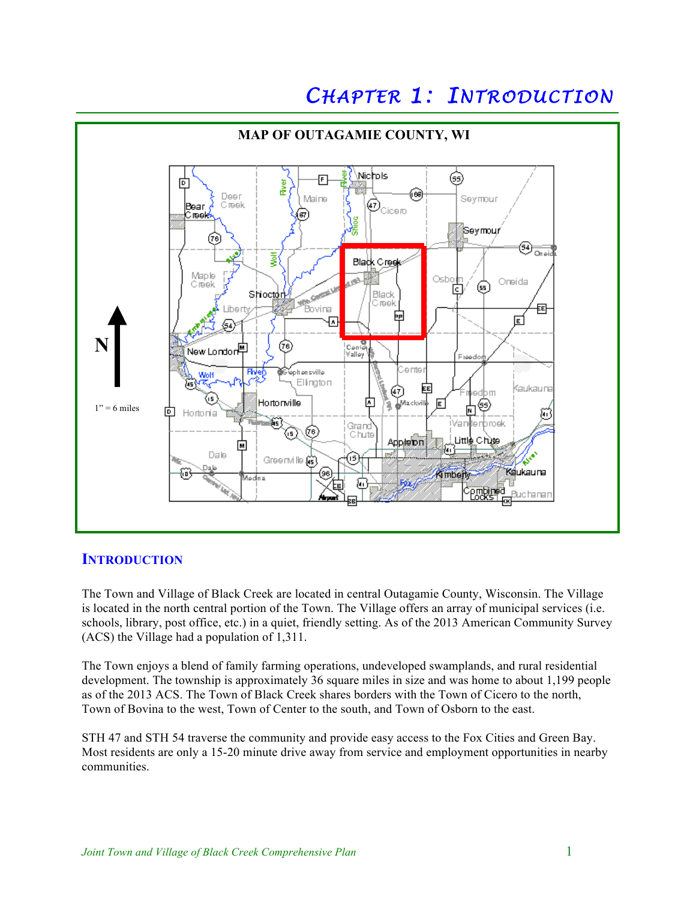# CHAPTER 1: INTRODUCTION



## **INTRODUCTION**

The Town and Village of Black Creek are located in central Outagamie County, Wisconsin. The Village is located in the north central portion of the Town. The Village offers an array of municipal services (i.e. schools, library, post office, etc.) in a quiet, friendly setting. As of the 2013 American Community Survey (ACS) the Village had a population of 1,311.

The Town enjoys a blend of family farming operations, undeveloped swamplands, and rural residential development. The township is approximately 36 square miles in size and was home to about 1,199 people as of the 2013 ACS. The Town of Black Creek shares borders with the Town of Cicero to the north, Town of Bovina to the west, Town of Center to the south, and Town of Osborn to the east.

STH 47 and STH 54 traverse the community and provide easy access to the Fox Cities and Green Bay. Most residents are only a 15-20 minute drive away from service and employment opportunities in nearby communities.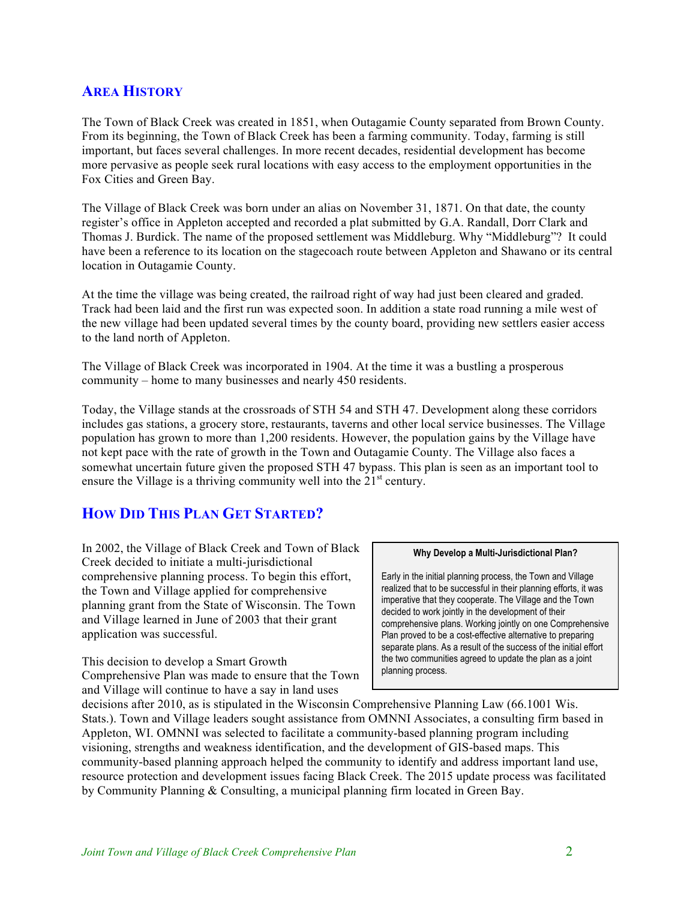## **AREA HISTORY**

The Town of Black Creek was created in 1851, when Outagamie County separated from Brown County. From its beginning, the Town of Black Creek has been a farming community. Today, farming is still important, but faces several challenges. In more recent decades, residential development has become more pervasive as people seek rural locations with easy access to the employment opportunities in the Fox Cities and Green Bay.

The Village of Black Creek was born under an alias on November 31, 1871. On that date, the county register's office in Appleton accepted and recorded a plat submitted by G.A. Randall, Dorr Clark and Thomas J. Burdick. The name of the proposed settlement was Middleburg. Why "Middleburg"? It could have been a reference to its location on the stagecoach route between Appleton and Shawano or its central location in Outagamie County.

At the time the village was being created, the railroad right of way had just been cleared and graded. Track had been laid and the first run was expected soon. In addition a state road running a mile west of the new village had been updated several times by the county board, providing new settlers easier access to the land north of Appleton.

The Village of Black Creek was incorporated in 1904. At the time it was a bustling a prosperous community – home to many businesses and nearly 450 residents.

Today, the Village stands at the crossroads of STH 54 and STH 47. Development along these corridors includes gas stations, a grocery store, restaurants, taverns and other local service businesses. The Village population has grown to more than 1,200 residents. However, the population gains by the Village have not kept pace with the rate of growth in the Town and Outagamie County. The Village also faces a somewhat uncertain future given the proposed STH 47 bypass. This plan is seen as an important tool to ensure the Village is a thriving community well into the  $21<sup>st</sup>$  century.

## **HOW DID THIS PLAN GET STARTED?**

In 2002, the Village of Black Creek and Town of Black Creek decided to initiate a multi-jurisdictional comprehensive planning process. To begin this effort, the Town and Village applied for comprehensive planning grant from the State of Wisconsin. The Town and Village learned in June of 2003 that their grant application was successful.

This decision to develop a Smart Growth Comprehensive Plan was made to ensure that the Town and Village will continue to have a say in land uses

#### **Why Develop a Multi-Jurisdictional Plan?**

Early in the initial planning process, the Town and Village realized that to be successful in their planning efforts, it was imperative that they cooperate. The Village and the Town decided to work jointly in the development of their comprehensive plans. Working jointly on one Comprehensive Plan proved to be a cost-effective alternative to preparing separate plans. As a result of the success of the initial effort the two communities agreed to update the plan as a joint planning process.

decisions after 2010, as is stipulated in the Wisconsin Comprehensive Planning Law (66.1001 Wis. Stats.). Town and Village leaders sought assistance from OMNNI Associates, a consulting firm based in Appleton, WI. OMNNI was selected to facilitate a community-based planning program including visioning, strengths and weakness identification, and the development of GIS-based maps. This community-based planning approach helped the community to identify and address important land use, resource protection and development issues facing Black Creek. The 2015 update process was facilitated by Community Planning & Consulting, a municipal planning firm located in Green Bay.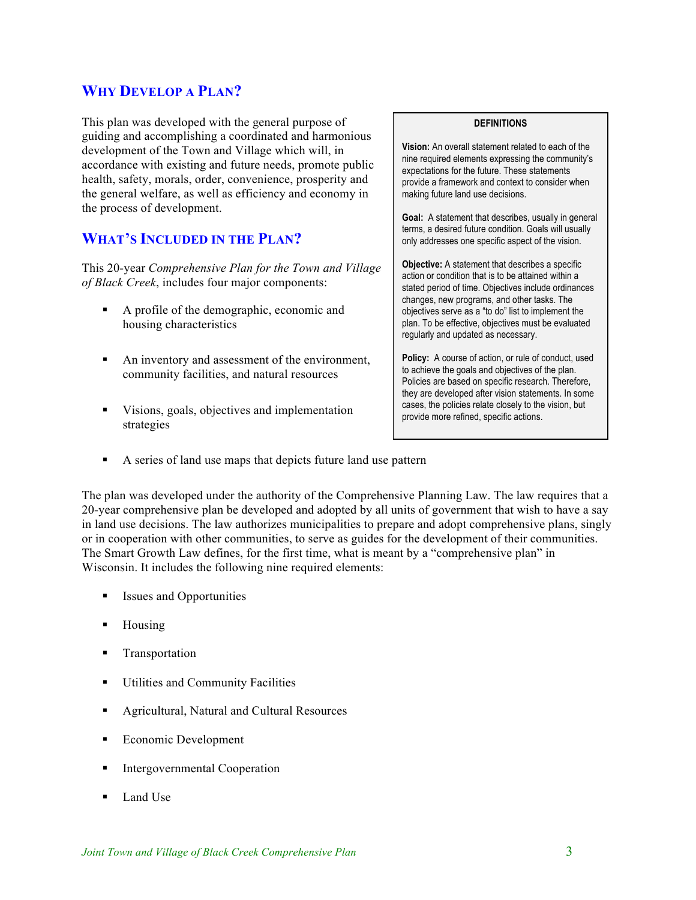## **WHY DEVELOP A PLAN?**

This plan was developed with the general purpose of guiding and accomplishing a coordinated and harmonious development of the Town and Village which will, in accordance with existing and future needs, promote public health, safety, morals, order, convenience, prosperity and the general welfare, as well as efficiency and economy in the process of development.

## **WHAT'S INCLUDED IN THE PLAN?**

This 20-year *Comprehensive Plan for the Town and Village of Black Creek*, includes four major components:

- ! A profile of the demographic, economic and housing characteristics
- ! An inventory and assessment of the environment, community facilities, and natural resources
- ! Visions, goals, objectives and implementation strategies

#### **DEFINITIONS**

**Vision:** An overall statement related to each of the nine required elements expressing the community's expectations for the future. These statements provide a framework and context to consider when making future land use decisions.

**Goal:** A statement that describes, usually in general terms, a desired future condition. Goals will usually only addresses one specific aspect of the vision.

**Objective:** A statement that describes a specific action or condition that is to be attained within a stated period of time. Objectives include ordinances changes, new programs, and other tasks. The objectives serve as a "to do" list to implement the plan. To be effective, objectives must be evaluated regularly and updated as necessary.

Policy: A course of action, or rule of conduct, used to achieve the goals and objectives of the plan. Policies are based on specific research. Therefore, they are developed after vision statements. In some cases, the policies relate closely to the vision, but provide more refined, specific actions.

! A series of land use maps that depicts future land use pattern

The plan was developed under the authority of the Comprehensive Planning Law. The law requires that a 20-year comprehensive plan be developed and adopted by all units of government that wish to have a say in land use decisions. The law authorizes municipalities to prepare and adopt comprehensive plans, singly or in cooperation with other communities, to serve as guides for the development of their communities. The Smart Growth Law defines, for the first time, what is meant by a "comprehensive plan" in Wisconsin. It includes the following nine required elements:

- ! Issues and Opportunities
- **EXECUTE:** Housing
- **Transportation**
- ! Utilities and Community Facilities
- ! Agricultural, Natural and Cultural Resources
- Economic Development
- **Intergovernmental Cooperation**
- Land Use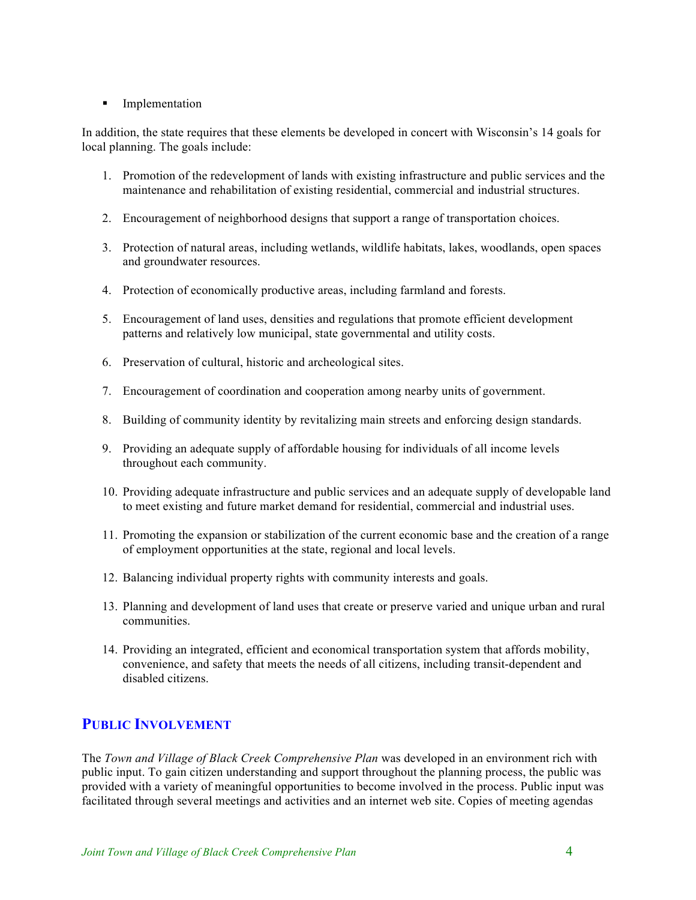#### **Implementation**

In addition, the state requires that these elements be developed in concert with Wisconsin's 14 goals for local planning. The goals include:

- 1. Promotion of the redevelopment of lands with existing infrastructure and public services and the maintenance and rehabilitation of existing residential, commercial and industrial structures.
- 2. Encouragement of neighborhood designs that support a range of transportation choices.
- 3. Protection of natural areas, including wetlands, wildlife habitats, lakes, woodlands, open spaces and groundwater resources.
- 4. Protection of economically productive areas, including farmland and forests.
- 5. Encouragement of land uses, densities and regulations that promote efficient development patterns and relatively low municipal, state governmental and utility costs.
- 6. Preservation of cultural, historic and archeological sites.
- 7. Encouragement of coordination and cooperation among nearby units of government.
- 8. Building of community identity by revitalizing main streets and enforcing design standards.
- 9. Providing an adequate supply of affordable housing for individuals of all income levels throughout each community.
- 10. Providing adequate infrastructure and public services and an adequate supply of developable land to meet existing and future market demand for residential, commercial and industrial uses.
- 11. Promoting the expansion or stabilization of the current economic base and the creation of a range of employment opportunities at the state, regional and local levels.
- 12. Balancing individual property rights with community interests and goals.
- 13. Planning and development of land uses that create or preserve varied and unique urban and rural communities.
- 14. Providing an integrated, efficient and economical transportation system that affords mobility, convenience, and safety that meets the needs of all citizens, including transit-dependent and disabled citizens.

# **PUBLIC INVOLVEMENT**

The *Town and Village of Black Creek Comprehensive Plan* was developed in an environment rich with public input. To gain citizen understanding and support throughout the planning process, the public was provided with a variety of meaningful opportunities to become involved in the process. Public input was facilitated through several meetings and activities and an internet web site. Copies of meeting agendas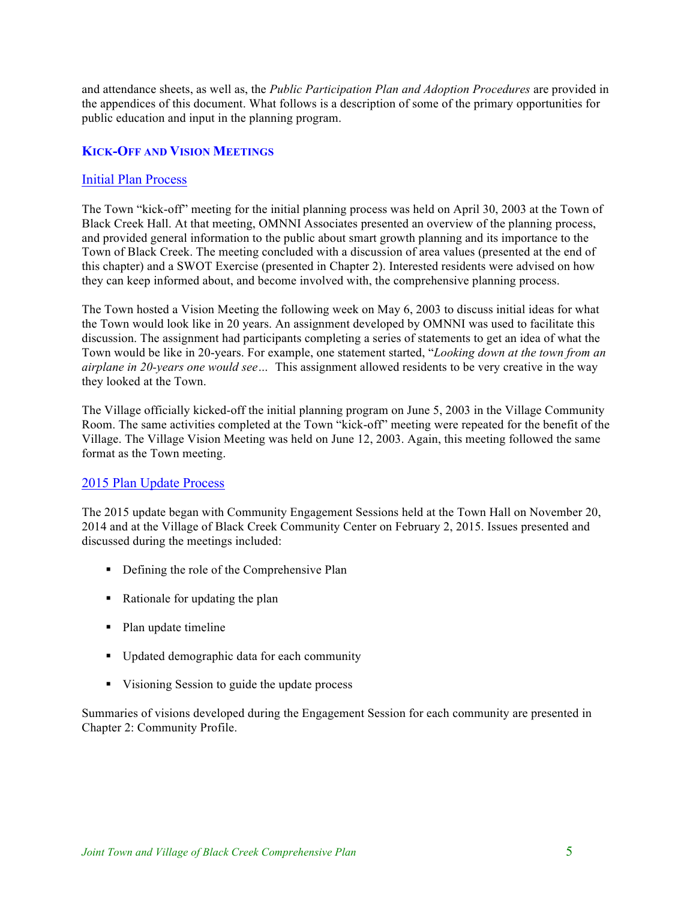and attendance sheets, as well as, the *Public Participation Plan and Adoption Procedures* are provided in the appendices of this document. What follows is a description of some of the primary opportunities for public education and input in the planning program.

## **KICK-OFF AND VISION MEETINGS**

#### Initial Plan Process

The Town "kick-off" meeting for the initial planning process was held on April 30, 2003 at the Town of Black Creek Hall. At that meeting, OMNNI Associates presented an overview of the planning process, and provided general information to the public about smart growth planning and its importance to the Town of Black Creek. The meeting concluded with a discussion of area values (presented at the end of this chapter) and a SWOT Exercise (presented in Chapter 2). Interested residents were advised on how they can keep informed about, and become involved with, the comprehensive planning process.

The Town hosted a Vision Meeting the following week on May 6, 2003 to discuss initial ideas for what the Town would look like in 20 years. An assignment developed by OMNNI was used to facilitate this discussion. The assignment had participants completing a series of statements to get an idea of what the Town would be like in 20-years. For example, one statement started, "*Looking down at the town from an airplane in 20-years one would see…* This assignment allowed residents to be very creative in the way they looked at the Town.

The Village officially kicked-off the initial planning program on June 5, 2003 in the Village Community Room. The same activities completed at the Town "kick-off" meeting were repeated for the benefit of the Village. The Village Vision Meeting was held on June 12, 2003. Again, this meeting followed the same format as the Town meeting.

#### 2015 Plan Update Process

The 2015 update began with Community Engagement Sessions held at the Town Hall on November 20, 2014 and at the Village of Black Creek Community Center on February 2, 2015. Issues presented and discussed during the meetings included:

- ! Defining the role of the Comprehensive Plan
- ! Rationale for updating the plan
- Plan update timeline
- ! Updated demographic data for each community
- ! Visioning Session to guide the update process

Summaries of visions developed during the Engagement Session for each community are presented in Chapter 2: Community Profile.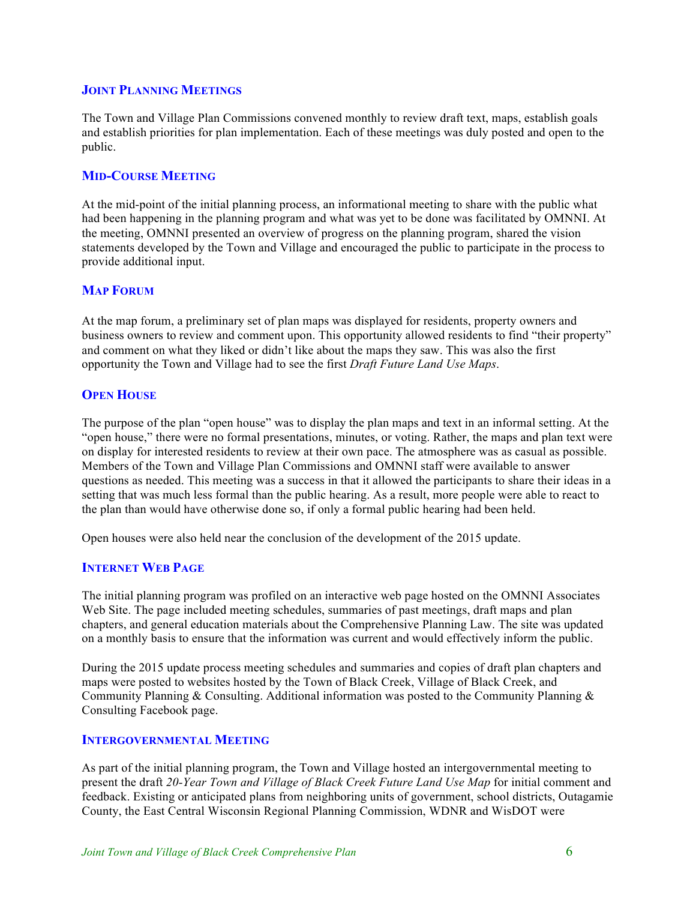#### **JOINT PLANNING MEETINGS**

The Town and Village Plan Commissions convened monthly to review draft text, maps, establish goals and establish priorities for plan implementation. Each of these meetings was duly posted and open to the public.

### **MID-COURSE MEETING**

At the mid-point of the initial planning process, an informational meeting to share with the public what had been happening in the planning program and what was yet to be done was facilitated by OMNNI. At the meeting, OMNNI presented an overview of progress on the planning program, shared the vision statements developed by the Town and Village and encouraged the public to participate in the process to provide additional input.

#### **MAP FORUM**

At the map forum, a preliminary set of plan maps was displayed for residents, property owners and business owners to review and comment upon. This opportunity allowed residents to find "their property" and comment on what they liked or didn't like about the maps they saw. This was also the first opportunity the Town and Village had to see the first *Draft Future Land Use Maps*.

#### **OPEN HOUSE**

The purpose of the plan "open house" was to display the plan maps and text in an informal setting. At the "open house," there were no formal presentations, minutes, or voting. Rather, the maps and plan text were on display for interested residents to review at their own pace. The atmosphere was as casual as possible. Members of the Town and Village Plan Commissions and OMNNI staff were available to answer questions as needed. This meeting was a success in that it allowed the participants to share their ideas in a setting that was much less formal than the public hearing. As a result, more people were able to react to the plan than would have otherwise done so, if only a formal public hearing had been held.

Open houses were also held near the conclusion of the development of the 2015 update.

#### **INTERNET WEB PAGE**

The initial planning program was profiled on an interactive web page hosted on the OMNNI Associates Web Site. The page included meeting schedules, summaries of past meetings, draft maps and plan chapters, and general education materials about the Comprehensive Planning Law. The site was updated on a monthly basis to ensure that the information was current and would effectively inform the public.

During the 2015 update process meeting schedules and summaries and copies of draft plan chapters and maps were posted to websites hosted by the Town of Black Creek, Village of Black Creek, and Community Planning  $&$  Consulting. Additional information was posted to the Community Planning  $&$ Consulting Facebook page.

#### **INTERGOVERNMENTAL MEETING**

As part of the initial planning program, the Town and Village hosted an intergovernmental meeting to present the draft *20-Year Town and Village of Black Creek Future Land Use Map* for initial comment and feedback. Existing or anticipated plans from neighboring units of government, school districts, Outagamie County, the East Central Wisconsin Regional Planning Commission, WDNR and WisDOT were